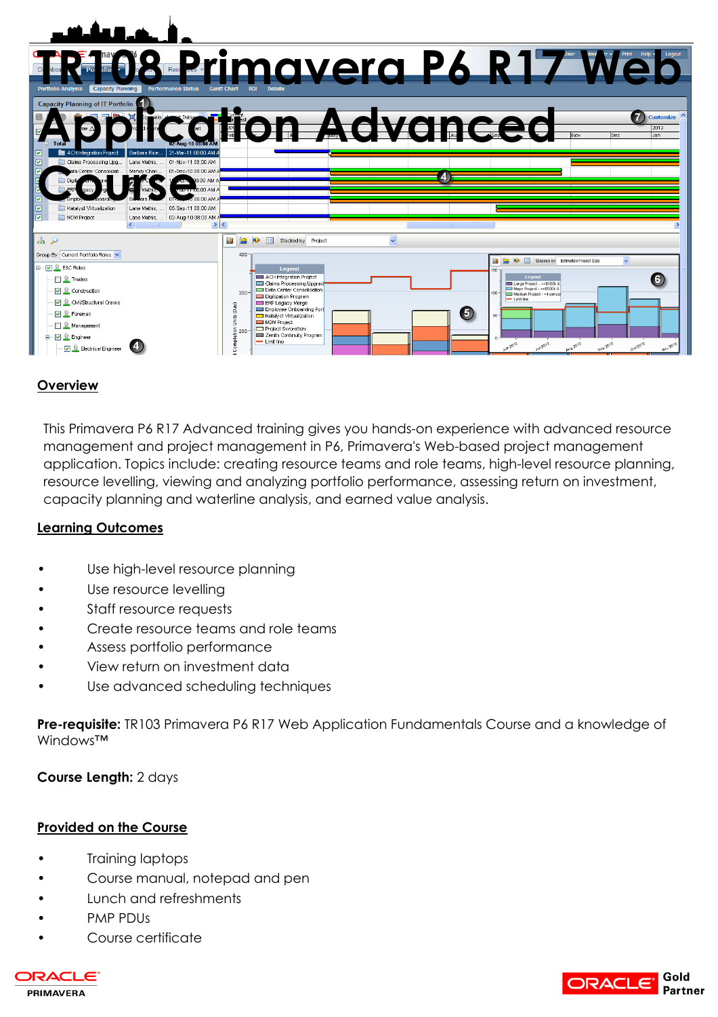| المتقالة المتألية                                                                    |                                                                                                                                     |
|--------------------------------------------------------------------------------------|-------------------------------------------------------------------------------------------------------------------------------------|
| <b>Portfolio Analysis</b><br>Capacity Planning<br><b>Performance Status</b>          | <b>BREPrimavera P6 R17 Wei</b><br><b>Gantt Chart</b><br><b>ROL</b>                                                                  |
| Capacity Planning of IT Portfolio <sup>1</sup>                                       |                                                                                                                                     |
| 21-Mar-11 08:00 AM<br>Barbara Rice.<br>ACH Integration Project                       | <b>Customize</b><br>diton Advanced<br>2012<br>Jan<br>lDec.                                                                          |
| ☑<br>Claims Processing Upg<br>Lane Mathis,  01-Nov-11 08:00 AM                       |                                                                                                                                     |
| Mandy Charl<br>01-Dec-10 08:00 AM<br>a Center Consolidati.                           | 4                                                                                                                                   |
| AM 00:80<br>ep-11 08:00 AM A<br>MA 00:801                                            |                                                                                                                                     |
| ☑<br>05-Sep-11 08:00 AM<br>Katalyst Virtualization<br>Lane Mathis,                   |                                                                                                                                     |
| $\overline{M}$<br>MDM Project<br>Lane Mathis,  02-Aug-10 08:00 AM /<br>$\rightarrow$ |                                                                                                                                     |
| 品户                                                                                   | 肌<br><b>FIEL</b><br>ц.<br>Stacked by Project                                                                                        |
| Group By Current Portfolio Roles                                                     | $400 -$<br>Stacked by Estimated Project Size                                                                                        |
| <b>⊟</b> Ø E&C Roles                                                                 | Legend<br>$160 -$                                                                                                                   |
| <b>Q</b> Trades                                                                      | Legend<br>ACH Integration Project<br>6<br>Claims Processing Upgrad<br>Large Project - >=\$100k &                                    |
| □ <u>●</u> Construction                                                              | Major Project - >=\$500k &<br>Data Center Consolidation<br>$300 -$<br>$100 -$<br>Medium Project - >4 person<br>Digitization Program |
| <b>V</b> Q Civil/Structural Crews                                                    | - Limit line<br><b>ERP Legacy Merge</b><br>(0a)()<br>Employee Onboarding Port                                                       |
| <b>V Q</b> Foreman                                                                   | (5<br>Katalyst Virtualization<br>$60 -$<br>Units I                                                                                  |
| <b>Nanagement</b>                                                                    | MDM Project<br>Project Swordfish<br>$\frac{5}{4}$ 200                                                                               |
| $\Box$ $\Box$ Engineer                                                               | Zenith Continuity Program<br>귵<br>$-$ Limit line                                                                                    |
| <b>D</b> Electrical Engineer                                                         | Jun 2012<br>Jul 2012<br>Ost 2012<br><b>AUG2012</b><br>Sep 2012<br><b>Hov 2012</b><br>$\circ$                                        |

## **Overview**

This Primavera P6 R17 Advanced training gives you hands-on experience with advanced resource management and project management in P6, Primavera's Web-based project management application. Topics include: creating resource teams and role teams, high-level resource planning, resource levelling, viewing and analyzing portfolio performance, assessing return on investment, capacity planning and waterline analysis, and earned value analysis.

### **Learning Outcomes**

- Use high-level resource planning
- Use resource levelling
- Staff resource requests
- Create resource teams and role teams
- Assess portfolio performance
- View return on investment data
- Use advanced scheduling techniques

**Pre-requisite:** TR103 Primavera P6 R17 Web Application Fundamentals Course and a knowledge of Windows™

**Course Length:** 2 days

#### **Provided on the Course**

- Training laptops
- Course manual, notepad and pen
- Lunch and refreshments
- PMP PDUs
- Course certificate



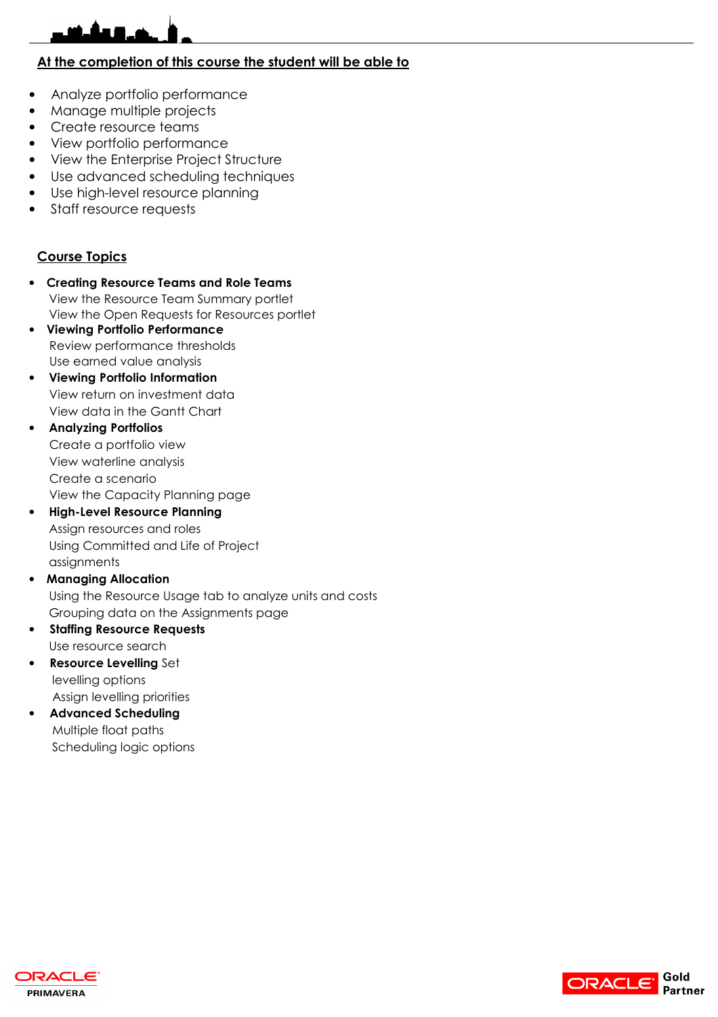## **At the completion of this course the student will be able to**

- Analyze portfolio performance
- Manage multiple projects
- Create resource teams
- View portfolio performance
- View the Enterprise Project Structure
- Use advanced scheduling techniques
- Use high-level resource planning
- Staff resource requests

#### **Course Topics**

- **Creating Resource Teams and Role Teams** View the Resource Team Summary portlet View the Open Requests for Resources portlet
- **Viewing Portfolio Performance**  Review performance thresholds Use earned value analysis
- **Viewing Portfolio Information**  View return on investment data View data in the Gantt Chart
- **Analyzing Portfolios**  Create a portfolio view View waterline analysis Create a scenario View the Capacity Planning page
- **High-Level Resource Planning**  Assign resources and roles Using Committed and Life of Project assignments
- **Managing Allocation**  Using the Resource Usage tab to analyze units and costs Grouping data on the Assignments page
- **Staffing Resource Requests** Use resource search
- **Resource Levelling** Set levelling options Assign levelling priorities
- **Advanced Scheduling** Multiple float paths Scheduling logic options